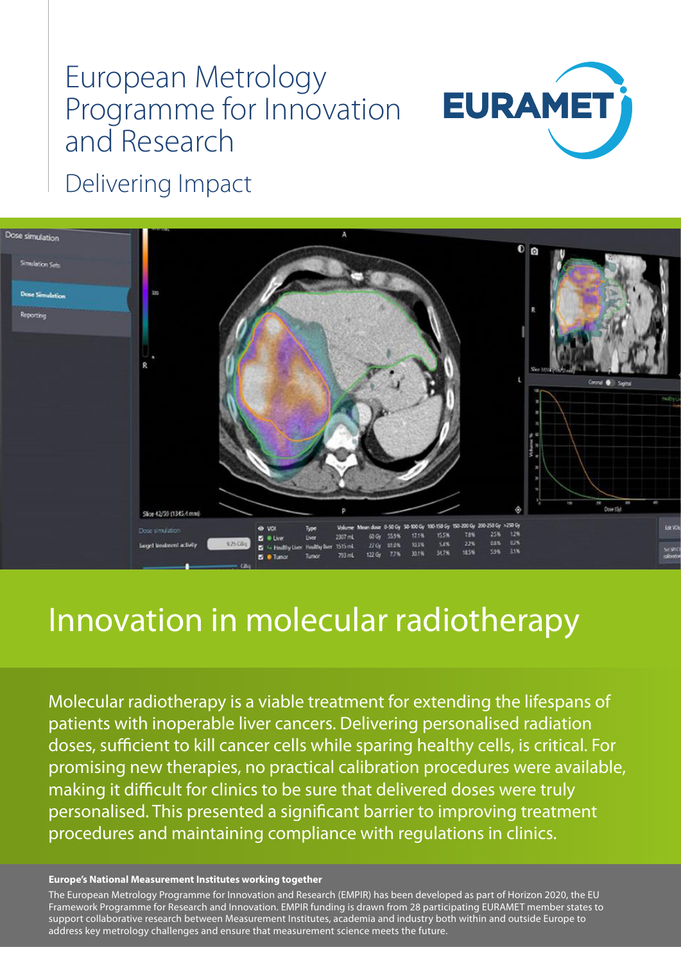# European Metrology Programme for Innovation and Research



Delivering Impact



# Innovation in molecular radiotherapy

Molecular radiotherapy is a viable treatment for extending the lifespans of patients with inoperable liver cancers. Delivering personalised radiation doses, sufficient to kill cancer cells while sparing healthy cells, is critical. For promising new therapies, no practical calibration procedures were available, making it difficult for clinics to be sure that delivered doses were truly personalised. This presented a significant barrier to improving treatment procedures and maintaining compliance with regulations in clinics.

#### **Europe's National Measurement Institutes working together**

The European Metrology Programme for Innovation and Research (EMPIR) has been developed as part of Horizon 2020, the EU Framework Programme for Research and Innovation. EMPIR funding is drawn from 28 participating EURAMET member states to support collaborative research between Measurement Institutes, academia and industry both within and outside Europe to address key metrology challenges and ensure that measurement science meets the future.